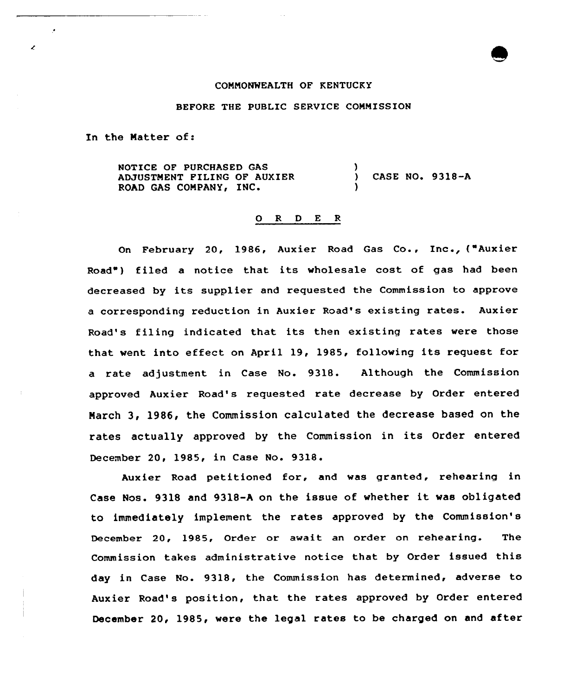## CONNONWEALTH OF KENTUCKY

## BEFORE THE PUBLIC SERVICE CONNISSION

In the Natter of:

NOTICE OF PURCHASED GAS ADJUSTNENT FILING OF AUXIER ROAD GAS CONPANYg IN' ) CASE NO 9318-A )

## 0 <sup>R</sup> <sup>D</sup> <sup>E</sup> <sup>R</sup>

On February 20, 1986, Auxier Road Gas Co., Inc., ("Auxier Road" ) filed <sup>a</sup> notice that its wholesale cost of gas had been decreased by its supplier and requested the Commission to approve <sup>a</sup> corresponding reduction in Auxier Road's existing rates. Auxier Road's filing indicated that its then existing rates were those that went into effect on April 19, 1985, following its request for a rate adjustment in Case No. 931&. Although the Commission approved Auxier Road's requested rate decrease by Order entered Narch 3, 1986, the Commission calculated the decrease based on the rates actually approved by the Commission in its Order entered December 20, 1985, in Case No. 9318.

Auxier Road petitioned for, and was granted, rehearing in Case Nos. 9318 and 9318-A on the issue of whether it was obligated to immediately implement the rates approved by the Commission's December 20, 1985, Order or await an order on rehearing. The Commission takes administrative notice that by Order issued this day in Case No. 9318, the Commission has determined, adverse to Auxier Road's position, that the rates approved by Order entered December 20, 1985, were the legal rates to be charged on and after